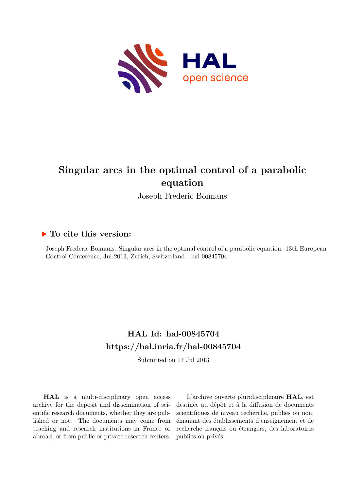

# **Singular arcs in the optimal control of a parabolic equation**

Joseph Frederic Bonnans

# **To cite this version:**

Joseph Frederic Bonnans. Singular arcs in the optimal control of a parabolic equation. 13th European Control Conference, Jul 2013, Zurich, Switzerland. hal-00845704

# **HAL Id: hal-00845704 <https://hal.inria.fr/hal-00845704>**

Submitted on 17 Jul 2013

**HAL** is a multi-disciplinary open access archive for the deposit and dissemination of scientific research documents, whether they are published or not. The documents may come from teaching and research institutions in France or abroad, or from public or private research centers.

L'archive ouverte pluridisciplinaire **HAL**, est destinée au dépôt et à la diffusion de documents scientifiques de niveau recherche, publiés ou non, émanant des établissements d'enseignement et de recherche français ou étrangers, des laboratoires publics ou privés.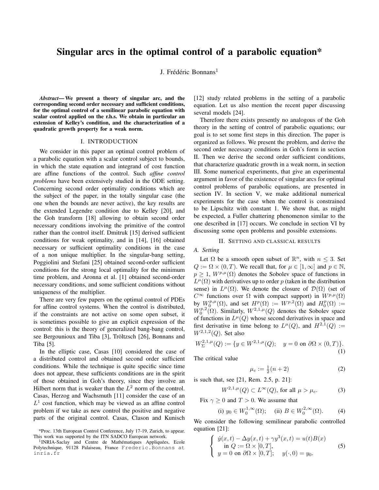# Singular arcs in the optimal control of a parabolic equation\*

J. Frédéric Bonnans<sup>1</sup>

*Abstract*— We present a theory of singular arc, and the corresponding second order necessary and sufficient conditions, for the optimal control of a semilinear parabolic equation with scalar control applied on the r.h.s. We obtain in particular an extension of Kelley's condition, and the characterization of a quadratic growth property for a weak norm.

#### I. INTRODUCTION

We consider in this paper an optimal control problem of a parabolic equation with a scalar control subject to bounds, in which the state equation and integrand of cost function are affine functions of the control. Such *affine control problems* have been extensively studied in the ODE setting. Concerning second order optimality conditions which are the subject of the paper, in the totally singular case (the one when the bounds are never active), the key results are the extended Legendre condition due to Kelley [20], and the Goh transform [18] allowing to obtain second order necessary conditions involving the primitive of the control rather than the control itself. Dmitruk [15] derived sufficient conditions for weak optimality, and in [14], [16] obtained necessary or sufficient optimality conditions in the case of a non unique multiplier. In the singular-bang setting, Poggiolini and Stefani [25] obtained second-order sufficient conditions for the strong local optimality for the minimum time problem, and Aronna et al. [1] obtained second-order necessary conditions, and some sufficient conditions without uniqueness of the multiplier.

There are very few papers on the optimal control of PDEs for affine control systems. When the control is distributed, if the constraints are not active on some open subset, it is sometimes possible to give an explicit expression of the control: this is the theory of generalized bang-bang control, see Bergounioux and Tiba [3], Tröltzsch [26], Bonnans and Tiba [5].

In the elliptic case, Casas [10] considered the case of a distributed control and obtained second order sufficient conditions. While the technique is quite specific since time does not appear, these sufficients conditions are in the spirit of those obtained in Goh's theory, since they involve an Hilbert norm that is weaker than the  $L^2$  norm of the control. Casas, Herzog and Wachsmuth [11] consider the case of an  $L<sup>1</sup>$  cost function, which may be viewed as an affine control problem if we take as new control the positive and negative parts of the original control. Casas, Clason and Kunisch

[12] study related problems in the setting of a parabolic equation. Let us also mention the recent paper discussing several models [24].

Therefore there exists presently no analogous of the Goh theory in the setting of control of parabolic equations; our goal is to set some first steps in this direction. The paper is organized as follows. We present the problem, and derive the second order necessary conditions in Goh's form in section II. Then we derive the second order sufficient conditions, that characterize quadratic growth in a weak norm, in section III. Some numerical experiments, that give an experimental argument in favor of the existence of singular arcs for optimal control problems of parabolic equations, are presented in section IV. In section V, we make additional numerical experiments for the case when the control is constrained to be Lipschitz with constant 1. We show that, as might be expected, a Fuller chattering phenomenon similar to the one described in [17] occurs. We conclude in section VI by discussing some open problems and possible extensions.

## II. SETTING AND CLASSICAL RESULTS

### *A. Setting*

Let  $\Omega$  be a smooth open subset of  $\mathbb{R}^n$ , with  $n \leq 3$ . Set  $Q := \Omega \times (0, T)$ . We recall that, for  $\mu \in [1, \infty]$  and  $p \in \mathbb{N}$ ,  $p \geq 1$ ,  $W^{p,\mu}(\Omega)$  denotes the Sobolev space of functions in  $L^{\mu}(\Omega)$  with derivatives up to order p (taken in the distribution sense) in  $L^{\mu}(\Omega)$ . We denote the closure of  $\mathcal{D}(\Omega)$  (set of  $C^{\infty}$  functions over  $\Omega$  with compact support) in  $W^{p,\mu}(\Omega)$ by  $W_0^{p,\mu}(\Omega)$ , and set  $H^p(\Omega) := W^{p,2}(\Omega)$  and  $H_0^p(\Omega) :=$  $W_0^{p,2}(\Omega)$ . Similarly,  $W^{2,1,\mu}(Q)$  denotes the Sobolev space of functions in  $L^{\mu}(Q)$  whose second derivatives in space and first derivative in time belong to  $L^{\mu}(Q)$ , and  $H^{2,1}(Q) :=$  $W^{2,1,2}(Q)$ . Set also

$$
W^{2,1,\mu}_{\Sigma}(Q) := \{ y \in W^{2,1,\mu}(Q); \quad y = 0 \text{ on } \partial\Omega \times (0,T) \}. \tag{1}
$$

The critical value

$$
\mu_c := \frac{1}{2}(n+2)
$$
 (2)

is such that, see [21, Rem. 2.5, p. 21]:

$$
W^{2,1,\mu}(Q) \subset L^{\infty}(Q), \text{ for all } \mu > \mu_c. \tag{3}
$$

Fix  $\gamma \geq 0$  and  $T > 0$ . We assume that

(i) 
$$
y_0 \in W_0^{1,\infty}(\Omega)
$$
; (ii)  $B \in W_0^{2,\infty}(\Omega)$ . (4)

We consider the following semilinear parabolic controlled equation [21]:

$$
\begin{cases}\n\dot{y}(x,t) - \Delta y(x,t) + \gamma y^3(x,t) = u(t)B(x) \\
\text{in } Q := \Omega \times [0,T], \\
y = 0 \text{ on } \partial\Omega \times [0,T]; \quad y(\cdot,0) = y_0.\n\end{cases}
$$
\n(5)

<sup>\*</sup>Proc. 13th European Control Conference, July 17-19, Zurich, to appear. This work was supported by the ITN SADCO European network.

<sup>&</sup>lt;sup>1</sup> INRIA-Saclay and Centre de Mathématiques Appliquées, Ecole Polytechnique, 91128 Palaiseau, France Frederic.Bonnans at inria.fr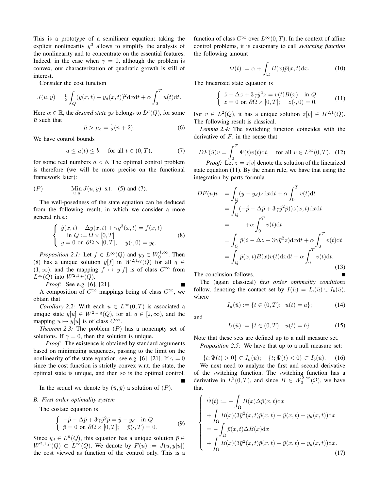This is a prototype of a semilinear equation; taking the explicit nonlinearity  $y^3$  allows to simplify the analysis of the nonlinearity and to concentrate on the essential features. Indeed, in the case when  $\gamma = 0$ , although the problem is convex, our characterization of quadratic growth is still of interest.

Consider the cost function

$$
J(u, y) = \frac{1}{2} \int_{Q} (y(x, t) - y_d(x, t))^2 dx dt + \alpha \int_{0}^{T} u(t) dt.
$$

Here  $\alpha \in \mathbb{R}$ , the *desired state*  $y_d$  belongs to  $L^{\bar{\mu}}(Q)$ , for some  $\bar{\mu}$  such that

$$
\bar{\mu} > \mu_c = \frac{1}{2}(n+2). \tag{6}
$$

We have control bounds

$$
a \le u(t) \le b, \quad \text{for all } t \in (0, T), \tag{7}
$$

for some real numbers  $a < b$ . The optimal control problem is therefore (we will be more precise on the functional framework later):

(P) 
$$
\lim_{u,y} J(u, y)
$$
 s.t. (5) and (7).

The well-posedness of the state equation can be deduced from the following result, in which we consider a more general r.h.s.:

$$
\begin{cases}\n\dot{y}(x,t) - \Delta y(x,t) + \gamma y^3(x,t) = f(x,t) \\
\text{in } Q := \Omega \times [0,T] \\
y = 0 \text{ on } \partial\Omega \times [0,T]; \quad y(\cdot,0) = y_0.\n\end{cases}
$$
\n(8)

*Proposition 2.1:* Let  $f \in L^{\infty}(Q)$  and  $y_0 \in W_0^{1,\infty}$ . Then (8) has a unique solution  $y[f]$  in  $W^{2,1,q}(Q)$  for all  $q \in$  $(1, \infty)$ , and the mapping  $f \mapsto y[f]$  is of class  $C^{\infty}$  from  $L^{\infty}(Q)$  into  $W^{2,1,\mu}(Q)$ .

*Proof:* See e.g. [6], [21].

A composition of  $C^{\infty}$  mappings being of class  $C^{\infty}$ , we obtain that

*Corollary 2.2:* With each  $u \in L^{\infty}(0,T)$  is associated a unique state  $y[u] \in W^{2,1,q}(Q)$ , for all  $q \in [2,\infty)$ , and the mapping  $u \mapsto y[u]$  is of class  $C^{\infty}$ .

*Theorem 2.3:* The problem (P) has a nonempty set of solutions. If  $\gamma = 0$ , then the solution is unique.

*Proof:* The existence is obtained by standard arguments based on minimizing sequences, passing to the limit on the nonlinearity of the state equation, see e.g. [6], [21]. If  $\gamma = 0$ since the cost function is strictly convex w.r.t. the state, the optimal state is unique, and then so is the optimal control.

In the sequel we denote by  $(\bar{u}, \bar{y})$  a solution of  $(P)$ .

#### *B. First order optimality system*

The costate equation is

$$
\begin{cases}\n-\dot{\bar{p}} - \Delta \bar{p} + 3\gamma \bar{y}^2 \bar{p} = \bar{y} - y_d \quad \text{in } Q \\
\bar{p} = 0 \text{ on } \partial \Omega \times [0, T]; \quad \bar{p}(\cdot, T) = 0.\n\end{cases} \tag{9}
$$

Since  $y_d \in L^{\bar{\mu}}(Q)$ , this equation has a unique solution  $\bar{p} \in$  $W^{2,1,\bar{\mu}}(Q) \subset L^{\infty}(Q)$ . We denote by  $F(u) := J(u,y[u])$ the cost viewed as function of the control only. This is a function of class  $C^{\infty}$  over  $L^{\infty}(0,T)$ . In the context of affine control problems, it is customary to call *switching function* the following amount

$$
\Psi(t) := \alpha + \int_{\Omega} B(x)\bar{p}(x,t) \mathrm{d}x.
$$
 (10)

The linearized state equation is

$$
\begin{cases}\n\dot{z} - \Delta z + 3\gamma \bar{y}^2 z = v(t)B(x) & \text{in } Q, \\
z = 0 \text{ on } \partial\Omega \times [0, T]; \quad z(\cdot, 0) = 0.\n\end{cases}
$$
\n(11)

For  $v \in L^2(Q)$ , it has a unique solution  $z[v] \in H^{2,1}(Q)$ . The following result is classical.

*Lemma 2.4:* The switching function coincides with the derivative of  $F$ , in the sense that

$$
DF(\bar{u})v = \int_0^T \Psi(t)v(t)dt
$$
, for all  $v \in L^{\infty}(0, T)$ . (12)  
Proof: Let  $z = z[v]$  denote the solution of the linearized

state equation (11). By the chain rule, we have that using the integration by parts formula

$$
DF(u)v = \int_{Q} (y - y_d)z dx dt + \alpha \int_{0}^{T} v(t) dt
$$
  
\n
$$
= \int_{Q} (-\dot{p} - \Delta \bar{p} + 3\gamma \bar{y}^2 \bar{p})) z(x, t) dx dt
$$
  
\n
$$
= +\alpha \int_{0}^{T} v(t) dt
$$
  
\n
$$
= \int_{Q} \bar{p}(\dot{z} - \Delta z + 3\gamma \bar{y}^2 z) dx dt + \alpha \int_{0}^{T} v(t) dt
$$
  
\n
$$
= \int_{Q} \bar{p}(x, t) B(x)v(t) dx dt + \alpha \int_{0}^{T} v(t) dt.
$$
\n(13)

The conclusion follows.

The (again classical) *first order optimality conditions* follow, denoting the contact set by  $I(\bar{u}) = I_a(\bar{u}) \cup I_b(\bar{u}),$ where

$$
I_a(\bar{u}) := \{ t \in (0, T); \ u(t) = a \}; \tag{14}
$$

and

$$
I_b(\bar{u}) := \{ t \in (0, T); \ \ u(t) = b \}. \tag{15}
$$

Note that these sets are defined up to a null measure set. *Proposition 2.5:* We have that up to a null measure set:

 $\{t; \Psi(t) > 0\} \subset I_a(\bar{u}); \quad \{t; \Psi(t) < 0\} \subset I_b(\bar{u}).$  (16) We next need to analyze the first and second derivative of the switching function. The switching function has a derivative in  $L^2(0,T)$ , and since  $B \in W_0^{2,\infty}(\Omega)$ , we have that

$$
\begin{cases}\n\dot{\Psi}(t) := -\int_{\Omega} B(x) \Delta \bar{p}(x, t) dx \\
+ \int_{\Omega} B(x) (3\bar{y}^2(x, t)\bar{p}(x, t) - \bar{y}(x, t) + y_d(x, t)) dx \\
= -\int_{\Omega} \bar{p}(x, t) \Delta B(x) dx \\
+ \int_{\Omega} B(x) (3\bar{y}^2(x, t)\bar{p}(x, t) - \bar{y}(x, t) + y_d(x, t)) dx.\n\end{cases} (17)
$$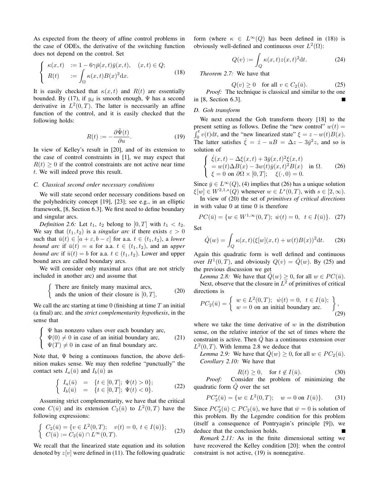As expected from the theory of affine control problems in the case of ODEs, the derivative of the switching function does not depend on the control. Set

$$
\begin{cases}\n\kappa(x,t) &:= 1 - 6\gamma \bar{p}(x,t)\bar{y}(x,t), \quad (x,t) \in Q; \\
R(t) &:= \int_{\Omega} \kappa(x,t)B(x)^2 dx.\n\end{cases}
$$
\n(18)

It is easily checked that  $\kappa(x, t)$  and  $R(t)$  are essentially bounded. By (17), if  $y_d$  is smooth enough,  $\Psi$  has a second derivative in  $L^2(0,T)$ . The latter is necessarily an affine function of the control, and it is easily checked that the following holds:

$$
R(t) := -\frac{\partial \ddot{\Psi}(t)}{\partial u}.
$$
 (19)

In view of Kelley's result in [20], and of its extension to the case of control constraints in [1], we may expect that  $R(t) \geq 0$  if the control constraints are not active near time t. We will indeed prove this result.

#### *C. Classical second order necessary conditions*

We will state second order necessary conditions based on the polyhedricity concept [19], [23]; see e.g., in an elliptic framework, [8, Section 6.3]. We first need to define boundary and singular arcs.

*Definition 2.6:* Let  $t_1$ ,  $t_2$  belong to  $[0, T]$  with  $t_1 < t_2$ . We say that  $(t_1, t_2)$  is a *singular arc* if there exists  $\varepsilon > 0$ such that  $\bar{u}(t) \in [a + \varepsilon, b - \varepsilon]$  for a.a.  $t \in (t_1, t_2)$ , a *lower bound arc* if  $\bar{u}(t) = a$  for a.a.  $t \in (t_1, t_2)$ , and an *upper bound arc* if  $\bar{u}(t) = b$  for a.a.  $t \in (t_1, t_2)$ . Lower and upper bound arcs are called boundary arcs.

We will consider only maximal arcs (that are not stricly included in another arc) and assume that

There are finitely many maximal arcs,  
and the union of their closure is 
$$
[0, T]
$$
, (20)

We call the arc starting at time  $0$  (finishing at time  $T$  an initial (a final) arc. and the *strict complementarity hypothesis*, in the sense that

$$
\begin{cases} \Psi \text{ has nonzero values over each boundary arc,} \\ \Psi(0) \neq 0 \text{ in case of an initial boundary arc,} \\ \Psi(T) \neq 0 \text{ in case of an final boundary arc.} \end{cases}
$$
 (21)

Note that,  $\Psi$  being a continuous function, the above definition makes sense. We may then redefine "punctually" the contact sets  $I_a(\bar{u})$  and  $I_b(\bar{u})$  as

$$
\begin{cases}\nI_a(\bar{u}) = \{t \in [0, T]; \Psi(t) > 0\}; \\
I_b(\bar{u}) = \{t \in [0, T]; \Psi(t) < 0\}.\n\end{cases}
$$
\n(22)

Assuming strict complementarity, we have that the critical cone  $C(\bar{u})$  and its extension  $C_2(\bar{u})$  to  $L^2(0,T)$  have the following expressions:

$$
\begin{cases} C_2(\bar{u}) = \{v \in L^2(0,T); \quad v(t) = 0, \ t \in I(\bar{u})\};\\ C(\bar{u}) := C_2(\bar{u}) \cap L^{\infty}(0,T). \end{cases}
$$
(23)

We recall that the linearized state equation and its solution denoted by  $z[v]$  were defined in (11). The following quadratic form (where  $\kappa \in L^{\infty}(Q)$  has been defined in (18)) is obviously well-defined and continuous over  $L^2(\Omega)$ :

$$
Q(v) := \int_{Q} \kappa(x, t) z(x, t)^2 \mathrm{d}t. \tag{24}
$$

*Theorem 2.7:* We have that

$$
Q(v) \ge 0 \quad \text{for all } v \in C_2(\bar{u}). \tag{25}
$$

*Proof:* The technique is classical and similar to the one in [8, Section 6.3].

## *D. Goh transform*

We next extend the Goh transform theory [18] to the present setting as follows. Define the "new control"  $w(t) =$  $\int_0^t v(t) dt$ , and the "new linearized state"  $\xi = z - w(t)B(x)$ . The latter satisfies  $\dot{\xi} = \dot{z} - uB = \Delta z - 3\bar{y}^2 z$ , and so is solution of

$$
\begin{cases}\n\dot{\xi}(x,t) - \Delta \xi(x,t) + 3\bar{y}(x,t)^2 \xi(x,t) \\
= w(t) \Delta B(x) - 3w(t)\bar{y}(x,t)^2 B(x) \text{ in } \Omega. \\
\xi = 0 \text{ on } \partial \Omega \times [0,T]; \quad \xi(\cdot,0) = 0.\n\end{cases}
$$
\n(26)

Since  $\bar{y} \in L^{\infty}(Q)$ , (4) implies that (26) has a unique solution  $\xi[w] \in W^{2,1,s}(Q)$  whenever  $w \in L^s(0,T)$ , with  $s \in [2,\infty)$ .

In view of (20) the set of *primitives of critical directions* in with value 0 at time 0 is therefore

$$
PC(\bar{u}) = \{w \in W^{1,\infty}(0,T); \ \dot{w}(t) = 0, \ t \in I(\bar{u})\}. \tag{27}
$$

Set

$$
\hat{Q}(w) = \int_Q \kappa(x, t) (\xi[w](x, t) + w(t)B(x))^2 dt. \tag{28}
$$

Again this quadratic form is well defined and continuous over  $H^1(0,T)$ , and obviously  $Q(v) = \hat{Q}(w)$ . By (25) and the previous discussion we get

*Lemma 2.8:* We have that  $\hat{Q}(w) \geq 0$ , for all  $w \in PC(\bar{u})$ . Next, observe that the closure in  $L^2$  of primitives of critical directions is

$$
PC_2(\bar{u}) = \begin{cases} w \in L^2(0,T); & \dot{w}(t) = 0, \ t \in I(\bar{u}); \\ w = 0 \text{ on an initial boundary arc.} \end{cases}
$$
, (29)

where we take the time derivative of  $w$  in the distribution sense, on the relative interior of the set of times where the constraint is active. Then  $\dot{Q}$  has a continuous extension over  $L^2(0,T)$ . With lemma 2.8 we deduce that

*Lemma 2.9:* We have that  $\hat{Q}(w) \geq 0$ , for all  $w \in PC_2(\bar{u})$ . *Corollary 2.10:* We have that

$$
R(t) \ge 0, \quad \text{for } t \notin I(\bar{u}).\tag{30}
$$

*Proof:* Consider the problem of minimizing the quadratic form  $\ddot{Q}$  over the set

$$
PC_2'(\bar{u}) = \{ w \in L^2(0, T); \quad w = 0 \text{ on } I(\bar{u}) \}. \tag{31}
$$

Since  $PC'_2(\bar{u}) \subset PC_2(\bar{u})$ , we have that  $\bar{w} = 0$  is solution of this problem. By the Legendre condition for this problem (itself a consequence of Pontryagin's principle [9]), we deduce that the conclusion holds.

*Remark 2.11:* As in the finite dimensional setting we have recovered the Kelley condition [20]: when the control constraint is not active, (19) is nonnegative.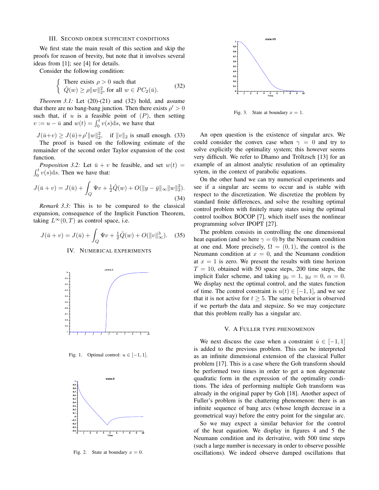#### III. SECOND ORDER SUFFICIENT CONDITIONS

We first state the main result of this section and skip the proofs for reason of brevity, but note that it involves several ideas from [1]; see [4] for details.

Consider the following condition:

$$
\begin{cases}\n\text{There exists } \rho > 0 \text{ such that} \\
\hat{Q}(w) \ge \rho \|w\|_2^2, \text{ for all } w \in PC_2(\bar{u}).\n\end{cases} \tag{32}
$$

*Theorem 3.1:* Let  $(20)-(21)$  and  $(32)$  hold, and assume that there are no bang-bang junction. Then there exists  $\rho' > 0$ such that, if  $u$  is a feasible point of  $(P)$ , then setting  $v := u - \bar{u}$  and  $w(t) = \int_0^t v(s) ds$ , we have that

 $J(\bar{u}+v) \ge J(\bar{u}) + \rho' ||w||_2^2$ , if  $||v||_2$  is small enough. (33) The proof is based on the following estimate of the remainder of the second order Taylor expansion of the cost function.

*Proposition 3.2:* Let  $\bar{u} + v$  be feasible, and set  $w(t) =$  $\int_0^t v(s)ds$ . Then we have that:

$$
J(\bar{u} + v) = J(\bar{u}) + \int_{Q} \Psi v + \frac{1}{2} \hat{Q}(w) + O(||y - \bar{y}||_{\infty} ||w||_{2}^{2}).
$$
\n(34)

*Remark 3.3:* This is to be compared to the classical expansion, consequence of the Implicit Function Theorem, taking  $L^{\infty}(0,T)$  as control space, i.e.

$$
J(\bar{u} + v) = J(\bar{u}) + \int_{Q} \Psi v + \frac{1}{2} \hat{Q}(w) + O(||v||_{\infty}^{3}).
$$
 (35)

#### IV. NUMERICAL EXPERIMENTS



Fig. 1. Optimal control:  $u \in [-1, 1]$ .



Fig. 2. State at boundary  $x = 0$ .



Fig. 3. State at boundary  $x = 1$ .

An open question is the existence of singular arcs. We could consider the convex case when  $\gamma = 0$  and try to solve explicitly the optimality system; this however seems very difficult. We refer to Dhamo and Tröltzsch [13] for an example of an almost analytic resulution of an optimality sytem, in the context of parabolic equations.

On the other hand we can try numerical experiments and see if a singular arc seems to occur and is stable with respect to the discretization. We discretize the problem by standard finite differences, and solve the resulting optimal control problem with finitely many states using the optimal control toolbox BOCOP [7], which itself uses the nonlinear programming solver IPOPT [27].

The problem consists in controlling the one dimensional heat equation (and so here  $\gamma = 0$ ) by the Neumann condition at one end. More precisely,  $\Omega = (0, 1)$ , the control is the Neumann condition at  $x = 0$ , and the Neumann condition at  $x = 1$  is zero. We present the results with time horizon  $T = 10$ , obtained with 50 space steps, 200 time steps, the implicit Euler scheme, and taking  $y_0 = 1$ ,  $y_d = 0$ ,  $\alpha = 0$ . We display next the optimal control, and the states function of time. The control constraint is  $u(t) \in [-1, 1]$ , and we see that it is not active for  $t \geq 5$ . The same behavior is observed if we perturb the data and stepsize. So we may conjecture that this problem really has a singular arc.

#### V. A FULLER TYPE PHENOMENON

We next discuss the case when a constraint  $\dot{u} \in [-1, 1]$ is added to the previous problem. This can be interpreted as an infinite dimensional extension of the classical Fuller problem [17]. This is a case where the Goh transform should be performed two times in order to get a non degenerate quadratic form in the expression of the optimality conditions. The idea of performing multiple Goh transform was already in the original paper by Goh [18]. Another aspect of Fuller's problem is the chattering phenomenon: there is an infinite sequence of bang arcs (whose length decrease in a geometrical way) before the entry point for the singular arc.

So we may expect a similar behavior for the control of the heat equation. We display in figures 4 and 5 the Neumann condition and its derivative, with 500 time steps (such a large number is necessary in order to observe possible oscillations). We indeed observe damped oscillations that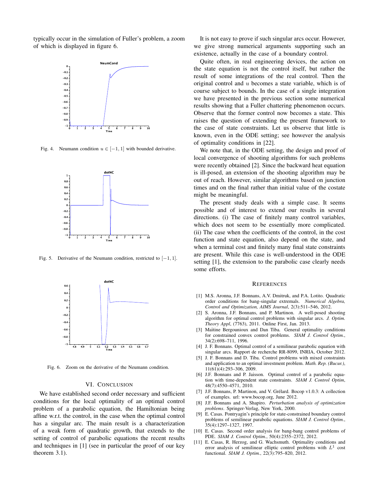typically occur in the simulation of Fuller's problem, a zoom of which is displayed in figure 6.



Fig. 4. Neumann condition  $u \in [-1, 1]$  with bounded derivative.



Fig. 5. Derivative of the Neumann condition, restricted to  $[-1, 1]$ .



Fig. 6. Zoom on the derivative of the Neumann condition.

## VI. CONCLUSION

We have established second order necessary and sufficient conditions for the local optimality of an optimal control problem of a parabolic equation, the Hamiltonian being affine w.r.t. the control, in the case when the optimal control has a singular arc. The main result is a characterization of a weak form of quadratic growth, that extends to the setting of control of parabolic equations the recent results and techniques in [1] (see in particular the proof of our key theorem 3.1).

It is not easy to prove if such singular arcs occur. However, we give strong numerical arguments supporting such an existence, actually in the case of a boundary control.

Quite often, in real engineering devices, the action on the state equation is not the control itself, but rather the result of some integrations of the real control. Then the original control and u becomes a state variable, which is of course subject to bounds. In the case of a single integration we have presented in the previous section some numerical results showing that a Fuller chattering phenomenon occurs. Observe that the former control now becomes a state. This raises the question of extending the present framework to the case of state constraints. Let us observe that little is known, even in the ODE setting; see however the analysis of optimality conditions in [22].

We note that, in the ODE setting, the design and proof of local convergence of shooting algorithms for such problems were recently obtained [2]. Since the backward heat equation is ill-posed, an extension of the shooting algorithm may be out of reach. However, similar algorithms based on junction times and on the final rather than initial value of the costate might be meaningful.

The present study deals with a simple case. It seems possible and of interest to extend our results in several directions. (i) The case of finitely many control variables, which does not seem to be essentially more complicated. (ii) The case when the coefficients of the control, in the cost function and state equation, also depend on the state, and when a terminal cost and finitely many final state constraints are present. While this case is well-understood in the ODE setting [1], the extension to the parabolic case clearly needs some efforts.

#### **REFERENCES**

- [1] M.S. Aronna, J.F. Bonnans, A.V. Dmitruk, and P.A. Lotito. Quadratic order conditions for bang-singular extremals. *Numerical Algebra, Control and Optimization, AIMS Journal*, 2(3):511–546, 2012.
- [2] S. Aronna, J.F. Bonnans, and P. Martinon. A well-posed shooting algorithm for optimal control problems with singular arcs. *J. Optim. Theory Appl*, (7763), 2011. Online First, Jan. 2013.
- [3] Maïtine Bergounioux and Dan Tiba. General optimality conditions for constrained convex control problems. *SIAM J. Control Optim.*, 34(2):698–711, 1996.
- [4] J. F. Bonnans. Optimal control of a semilinear parabolic equation with singular arcs. Rapport de recherche RR-8099, INRIA, October 2012.
- [5] J. F. Bonnans and D. Tiba. Control problems with mixed constraints and application to an optimal investment problem. *Math. Rep. (Bucur.)*, 11(61)(4):293–306, 2009.
- [6] J.F. Bonnans and P. Jaisson. Optimal control of a parabolic equation with time-dependent state constraints. *SIAM J. Control Optim*, 48(7):4550–4571, 2010.
- [7] J.F. Bonnans, P. Martinon, and V. Grélard. Bocop v1.0.3: A collection of examples. url: www.bocop.org, June 2012.
- [8] J.F. Bonnans and A. Shapiro. *Perturbation analysis of optimization problems*. Springer-Verlag, New York, 2000.
- [9] E. Casas. Pontryagin's principle for state-constrained boundary control problems of semilinear parabolic equations. *SIAM J. Control Optim.*, 35(4):1297–1327, 1997.
- [10] E. Casas. Second order analysis for bang-bang control problems of PDE. *SIAM J. Control Optim.*, 50(4):2355–2372, 2012.
- [11] E. Casas, R. Herzog, and G. Wachsmuth. Optimality conditions and error analysis of semilinear elliptic control problems with  $L<sup>1</sup>$  cost functional. *SIAM J. Optim.*, 22(3):795–820, 2012.